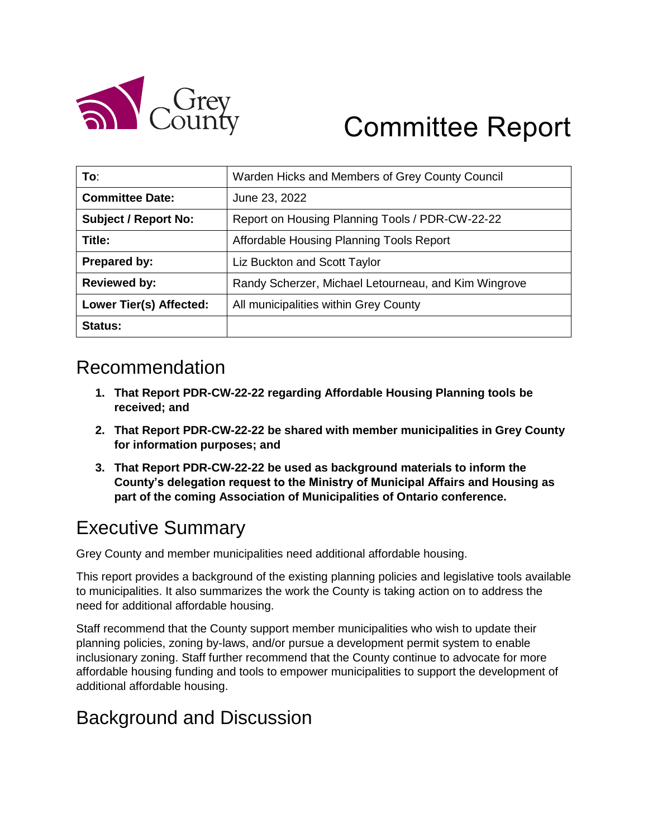

# Committee Report

| To:                            | Warden Hicks and Members of Grey County Council      |
|--------------------------------|------------------------------------------------------|
| <b>Committee Date:</b>         | June 23, 2022                                        |
| <b>Subject / Report No:</b>    | Report on Housing Planning Tools / PDR-CW-22-22      |
| Title:                         | Affordable Housing Planning Tools Report             |
| Prepared by:                   | Liz Buckton and Scott Taylor                         |
| <b>Reviewed by:</b>            | Randy Scherzer, Michael Letourneau, and Kim Wingrove |
| <b>Lower Tier(s) Affected:</b> | All municipalities within Grey County                |
| Status:                        |                                                      |

## Recommendation

- **1. That Report PDR-CW-22-22 regarding Affordable Housing Planning tools be received; and**
- **2. That Report PDR-CW-22-22 be shared with member municipalities in Grey County for information purposes; and**
- **3. That Report PDR-CW-22-22 be used as background materials to inform the County's delegation request to the Ministry of Municipal Affairs and Housing as part of the coming Association of Municipalities of Ontario conference.**

## Executive Summary

Grey County and member municipalities need additional affordable housing.

This report provides a background of the existing planning policies and legislative tools available to municipalities. It also summarizes the work the County is taking action on to address the need for additional affordable housing.

Staff recommend that the County support member municipalities who wish to update their planning policies, zoning by-laws, and/or pursue a development permit system to enable inclusionary zoning. Staff further recommend that the County continue to advocate for more affordable housing funding and tools to empower municipalities to support the development of additional affordable housing.

## Background and Discussion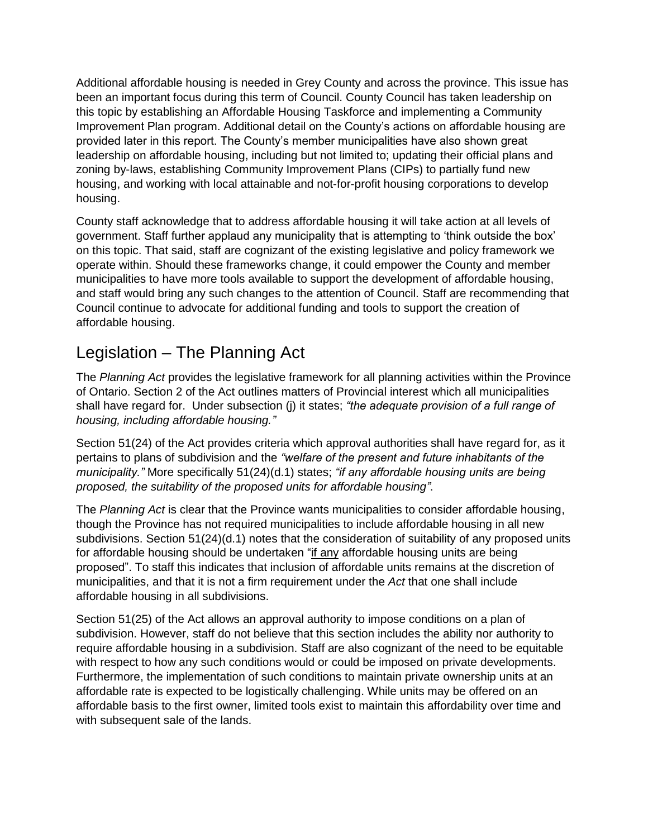Additional affordable housing is needed in Grey County and across the province. This issue has been an important focus during this term of Council. County Council has taken leadership on this topic by establishing an Affordable Housing Taskforce and implementing a Community Improvement Plan program. Additional detail on the County's actions on affordable housing are provided later in this report. The County's member municipalities have also shown great leadership on affordable housing, including but not limited to; updating their official plans and zoning by-laws, establishing Community Improvement Plans (CIPs) to partially fund new housing, and working with local attainable and not-for-profit housing corporations to develop housing.

County staff acknowledge that to address affordable housing it will take action at all levels of government. Staff further applaud any municipality that is attempting to 'think outside the box' on this topic. That said, staff are cognizant of the existing legislative and policy framework we operate within. Should these frameworks change, it could empower the County and member municipalities to have more tools available to support the development of affordable housing, and staff would bring any such changes to the attention of Council. Staff are recommending that Council continue to advocate for additional funding and tools to support the creation of affordable housing.

#### Legislation – The Planning Act

The *Planning Act* provides the legislative framework for all planning activities within the Province of Ontario. Section 2 of the Act outlines matters of Provincial interest which all municipalities shall have regard for. Under subsection (j) it states; *"the adequate provision of a full range of housing, including affordable housing."*

Section 51(24) of the Act provides criteria which approval authorities shall have regard for, as it pertains to plans of subdivision and the *"welfare of the present and future inhabitants of the municipality."* More specifically 51(24)(d.1) states; *"if any affordable housing units are being proposed, the suitability of the proposed units for affordable housing"*.

The *Planning Act* is clear that the Province wants municipalities to consider affordable housing, though the Province has not required municipalities to include affordable housing in all new subdivisions. Section 51(24)(d.1) notes that the consideration of suitability of any proposed units for affordable housing should be undertaken "if any affordable housing units are being proposed". To staff this indicates that inclusion of affordable units remains at the discretion of municipalities, and that it is not a firm requirement under the *Act* that one shall include affordable housing in all subdivisions.

Section 51(25) of the Act allows an approval authority to impose conditions on a plan of subdivision. However, staff do not believe that this section includes the ability nor authority to require affordable housing in a subdivision. Staff are also cognizant of the need to be equitable with respect to how any such conditions would or could be imposed on private developments. Furthermore, the implementation of such conditions to maintain private ownership units at an affordable rate is expected to be logistically challenging. While units may be offered on an affordable basis to the first owner, limited tools exist to maintain this affordability over time and with subsequent sale of the lands.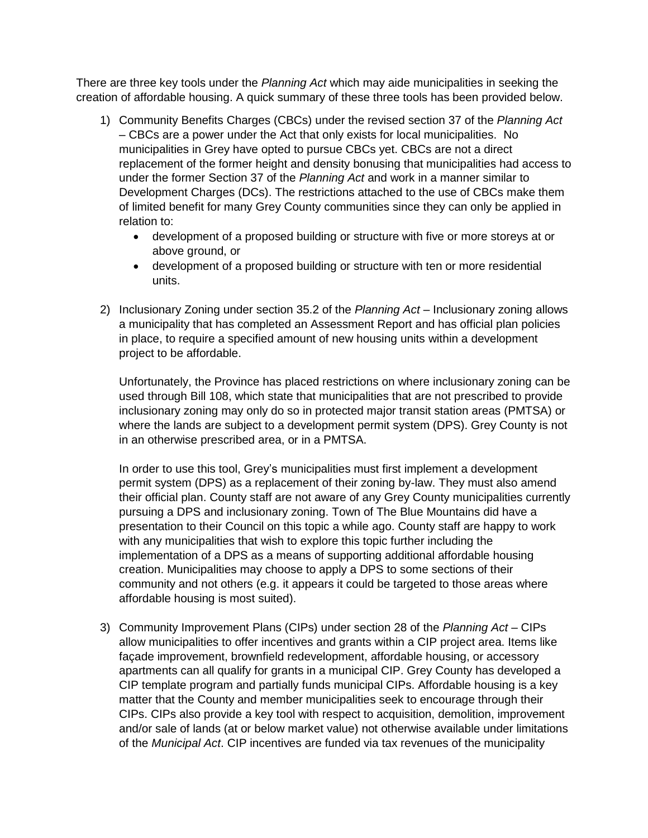There are three key tools under the *Planning Act* which may aide municipalities in seeking the creation of affordable housing. A quick summary of these three tools has been provided below.

- 1) Community Benefits Charges (CBCs) under the revised section 37 of the *Planning Act* – CBCs are a power under the Act that only exists for local municipalities. No municipalities in Grey have opted to pursue CBCs yet. CBCs are not a direct replacement of the former height and density bonusing that municipalities had access to under the former Section 37 of the *Planning Act* and work in a manner similar to Development Charges (DCs). The restrictions attached to the use of CBCs make them of limited benefit for many Grey County communities since they can only be applied in relation to:
	- development of a proposed building or structure with five or more storeys at or above ground, or
	- development of a proposed building or structure with ten or more residential units.
- 2) Inclusionary Zoning under section 35.2 of the *Planning Act* Inclusionary zoning allows a municipality that has completed an Assessment Report and has official plan policies in place, to require a specified amount of new housing units within a development project to be affordable.

Unfortunately, the Province has placed restrictions on where inclusionary zoning can be used through Bill 108, which state that municipalities that are not prescribed to provide inclusionary zoning may only do so in protected major transit station areas (PMTSA) or where the lands are subject to a development permit system (DPS). Grey County is not in an otherwise prescribed area, or in a PMTSA.

In order to use this tool, Grey's municipalities must first implement a development permit system (DPS) as a replacement of their zoning by-law. They must also amend their official plan. County staff are not aware of any Grey County municipalities currently pursuing a DPS and inclusionary zoning. Town of The Blue Mountains did have a presentation to their Council on this topic a while ago. County staff are happy to work with any municipalities that wish to explore this topic further including the implementation of a DPS as a means of supporting additional affordable housing creation. Municipalities may choose to apply a DPS to some sections of their community and not others (e.g. it appears it could be targeted to those areas where affordable housing is most suited).

3) Community Improvement Plans (CIPs) under section 28 of the *Planning Act* – CIPs allow municipalities to offer incentives and grants within a CIP project area. Items like façade improvement, brownfield redevelopment, affordable housing, or accessory apartments can all qualify for grants in a municipal CIP. Grey County has developed a CIP template program and partially funds municipal CIPs. Affordable housing is a key matter that the County and member municipalities seek to encourage through their CIPs. CIPs also provide a key tool with respect to acquisition, demolition, improvement and/or sale of lands (at or below market value) not otherwise available under limitations of the *Municipal Act*. CIP incentives are funded via tax revenues of the municipality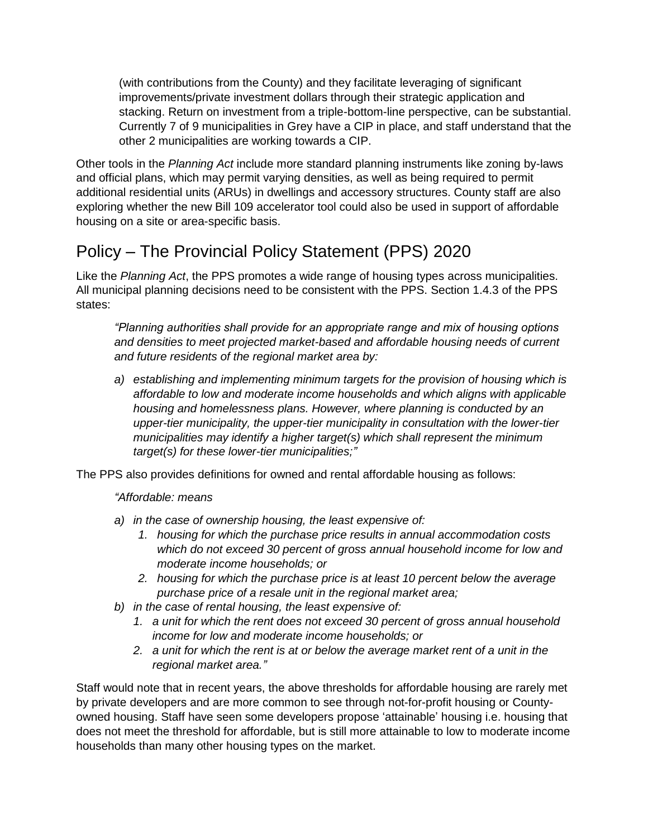(with contributions from the County) and they facilitate leveraging of significant improvements/private investment dollars through their strategic application and stacking. Return on investment from a triple-bottom-line perspective, can be substantial. Currently 7 of 9 municipalities in Grey have a CIP in place, and staff understand that the other 2 municipalities are working towards a CIP.

Other tools in the *Planning Act* include more standard planning instruments like zoning by-laws and official plans, which may permit varying densities, as well as being required to permit additional residential units (ARUs) in dwellings and accessory structures. County staff are also exploring whether the new Bill 109 accelerator tool could also be used in support of affordable housing on a site or area-specific basis.

### Policy – The Provincial Policy Statement (PPS) 2020

Like the *Planning Act*, the PPS promotes a wide range of housing types across municipalities. All municipal planning decisions need to be consistent with the PPS. Section 1.4.3 of the PPS states:

*"Planning authorities shall provide for an appropriate range and mix of housing options and densities to meet projected market-based and affordable housing needs of current and future residents of the regional market area by:* 

*a) establishing and implementing minimum targets for the provision of housing which is affordable to low and moderate income households and which aligns with applicable housing and homelessness plans. However, where planning is conducted by an upper-tier municipality, the upper-tier municipality in consultation with the lower-tier municipalities may identify a higher target(s) which shall represent the minimum target(s) for these lower-tier municipalities;"*

The PPS also provides definitions for owned and rental affordable housing as follows:

#### *"Affordable: means*

- *a) in the case of ownership housing, the least expensive of:* 
	- *1. housing for which the purchase price results in annual accommodation costs which do not exceed 30 percent of gross annual household income for low and moderate income households; or*
	- *2. housing for which the purchase price is at least 10 percent below the average purchase price of a resale unit in the regional market area;*
- *b) in the case of rental housing, the least expensive of:* 
	- *1. a unit for which the rent does not exceed 30 percent of gross annual household income for low and moderate income households; or*
	- *2. a unit for which the rent is at or below the average market rent of a unit in the regional market area."*

Staff would note that in recent years, the above thresholds for affordable housing are rarely met by private developers and are more common to see through not-for-profit housing or Countyowned housing. Staff have seen some developers propose 'attainable' housing i.e. housing that does not meet the threshold for affordable, but is still more attainable to low to moderate income households than many other housing types on the market.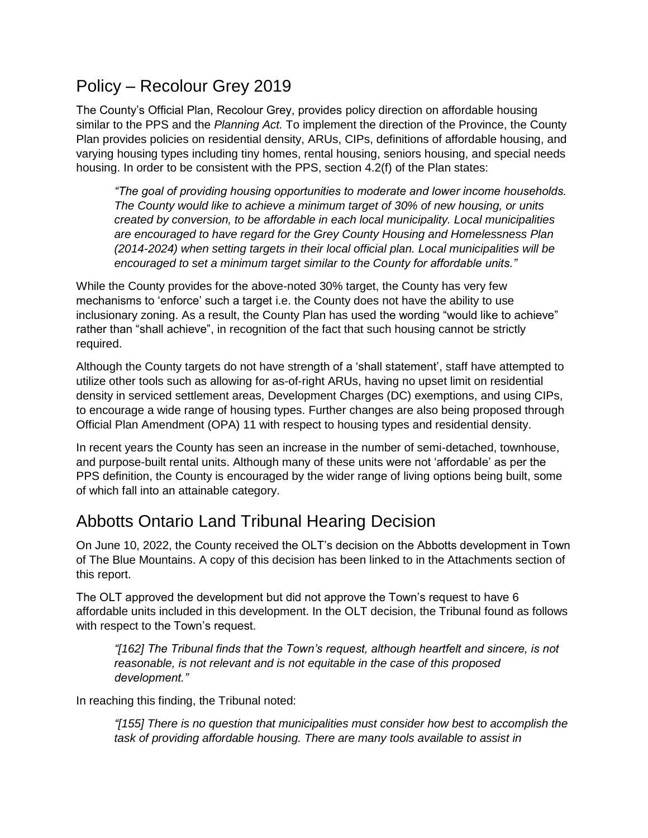#### Policy – Recolour Grey 2019

The County's Official Plan, Recolour Grey, provides policy direction on affordable housing similar to the PPS and the *Planning Act.* To implement the direction of the Province, the County Plan provides policies on residential density, ARUs, CIPs, definitions of affordable housing, and varying housing types including tiny homes, rental housing, seniors housing, and special needs housing. In order to be consistent with the PPS, section 4.2(f) of the Plan states:

*"The goal of providing housing opportunities to moderate and lower income households. The County would like to achieve a minimum target of 30% of new housing, or units created by conversion, to be affordable in each local municipality. Local municipalities are encouraged to have regard for the Grey County Housing and Homelessness Plan (2014-2024) when setting targets in their local official plan. Local municipalities will be encouraged to set a minimum target similar to the County for affordable units."*

While the County provides for the above-noted 30% target, the County has very few mechanisms to 'enforce' such a target i.e. the County does not have the ability to use inclusionary zoning. As a result, the County Plan has used the wording "would like to achieve" rather than "shall achieve", in recognition of the fact that such housing cannot be strictly required.

Although the County targets do not have strength of a 'shall statement', staff have attempted to utilize other tools such as allowing for as-of-right ARUs, having no upset limit on residential density in serviced settlement areas, Development Charges (DC) exemptions, and using CIPs, to encourage a wide range of housing types. Further changes are also being proposed through Official Plan Amendment (OPA) 11 with respect to housing types and residential density.

In recent years the County has seen an increase in the number of semi-detached, townhouse, and purpose-built rental units. Although many of these units were not 'affordable' as per the PPS definition, the County is encouraged by the wider range of living options being built, some of which fall into an attainable category.

#### Abbotts Ontario Land Tribunal Hearing Decision

On June 10, 2022, the County received the OLT's decision on the Abbotts development in Town of The Blue Mountains. A copy of this decision has been linked to in the Attachments section of this report.

The OLT approved the development but did not approve the Town's request to have 6 affordable units included in this development. In the OLT decision, the Tribunal found as follows with respect to the Town's request.

*"[162] The Tribunal finds that the Town's request, although heartfelt and sincere, is not reasonable, is not relevant and is not equitable in the case of this proposed development."*

In reaching this finding, the Tribunal noted:

*"[155] There is no question that municipalities must consider how best to accomplish the task of providing affordable housing. There are many tools available to assist in*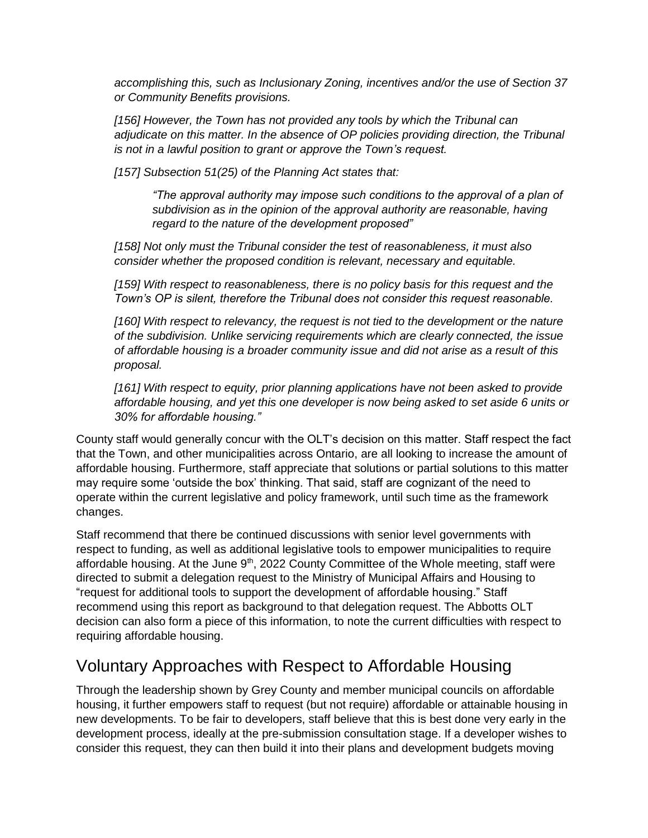*accomplishing this, such as Inclusionary Zoning, incentives and/or the use of Section 37 or Community Benefits provisions.* 

*[156] However, the Town has not provided any tools by which the Tribunal can adjudicate on this matter. In the absence of OP policies providing direction, the Tribunal is not in a lawful position to grant or approve the Town's request.* 

*[157] Subsection 51(25) of the Planning Act states that:* 

*"The approval authority may impose such conditions to the approval of a plan of subdivision as in the opinion of the approval authority are reasonable, having regard to the nature of the development proposed"*

*[158] Not only must the Tribunal consider the test of reasonableness, it must also consider whether the proposed condition is relevant, necessary and equitable.* 

*[159] With respect to reasonableness, there is no policy basis for this request and the Town's OP is silent, therefore the Tribunal does not consider this request reasonable.* 

*[160] With respect to relevancy, the request is not tied to the development or the nature of the subdivision. Unlike servicing requirements which are clearly connected, the issue of affordable housing is a broader community issue and did not arise as a result of this proposal.* 

*[161] With respect to equity, prior planning applications have not been asked to provide affordable housing, and yet this one developer is now being asked to set aside 6 units or 30% for affordable housing."*

County staff would generally concur with the OLT's decision on this matter. Staff respect the fact that the Town, and other municipalities across Ontario, are all looking to increase the amount of affordable housing. Furthermore, staff appreciate that solutions or partial solutions to this matter may require some 'outside the box' thinking. That said, staff are cognizant of the need to operate within the current legislative and policy framework, until such time as the framework changes.

Staff recommend that there be continued discussions with senior level governments with respect to funding, as well as additional legislative tools to empower municipalities to require affordable housing. At the June  $9<sup>th</sup>$ , 2022 County Committee of the Whole meeting, staff were directed to submit a delegation request to the Ministry of Municipal Affairs and Housing to "request for additional tools to support the development of affordable housing." Staff recommend using this report as background to that delegation request. The Abbotts OLT decision can also form a piece of this information, to note the current difficulties with respect to requiring affordable housing.

#### Voluntary Approaches with Respect to Affordable Housing

Through the leadership shown by Grey County and member municipal councils on affordable housing, it further empowers staff to request (but not require) affordable or attainable housing in new developments. To be fair to developers, staff believe that this is best done very early in the development process, ideally at the pre-submission consultation stage. If a developer wishes to consider this request, they can then build it into their plans and development budgets moving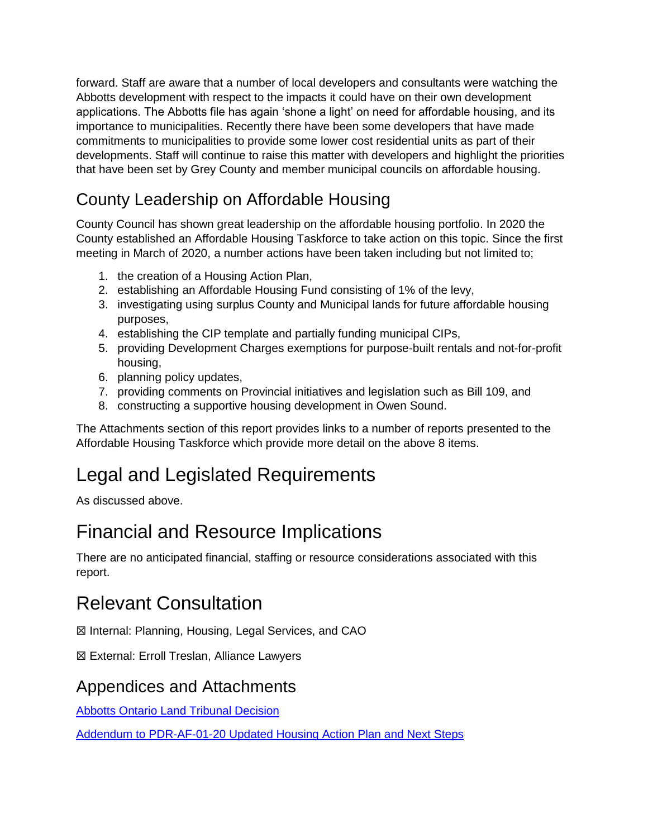forward. Staff are aware that a number of local developers and consultants were watching the Abbotts development with respect to the impacts it could have on their own development applications. The Abbotts file has again 'shone a light' on need for affordable housing, and its importance to municipalities. Recently there have been some developers that have made commitments to municipalities to provide some lower cost residential units as part of their developments. Staff will continue to raise this matter with developers and highlight the priorities that have been set by Grey County and member municipal councils on affordable housing.

## County Leadership on Affordable Housing

County Council has shown great leadership on the affordable housing portfolio. In 2020 the County established an Affordable Housing Taskforce to take action on this topic. Since the first meeting in March of 2020, a number actions have been taken including but not limited to;

- 1. the creation of a Housing Action Plan,
- 2. establishing an Affordable Housing Fund consisting of 1% of the levy,
- 3. investigating using surplus County and Municipal lands for future affordable housing purposes,
- 4. establishing the CIP template and partially funding municipal CIPs,
- 5. providing Development Charges exemptions for purpose-built rentals and not-for-profit housing,
- 6. planning policy updates,
- 7. providing comments on Provincial initiatives and legislation such as Bill 109, and
- 8. constructing a supportive housing development in Owen Sound.

The Attachments section of this report provides links to a number of reports presented to the Affordable Housing Taskforce which provide more detail on the above 8 items.

## Legal and Legislated Requirements

As discussed above.

## Financial and Resource Implications

There are no anticipated financial, staffing or resource considerations associated with this report.

## Relevant Consultation

☒ Internal: Planning, Housing, Legal Services, and CAO

☒ External: Erroll Treslan, Alliance Lawyers

#### Appendices and Attachments

[Abbotts Ontario Land Tribunal Decision](https://docs.grey.ca/share/public?nodeRef=workspace://SpacesStore/c233a971-08a5-49b6-98e5-c54167cabf71)

[Addendum to PDR-AF-01-20 Updated Housing Action Plan and Next Steps](https://council.grey.ca/meeting/getPDFRendition?documentObjectId=c03cf9e1-895e-436f-8809-b65073d867d9)